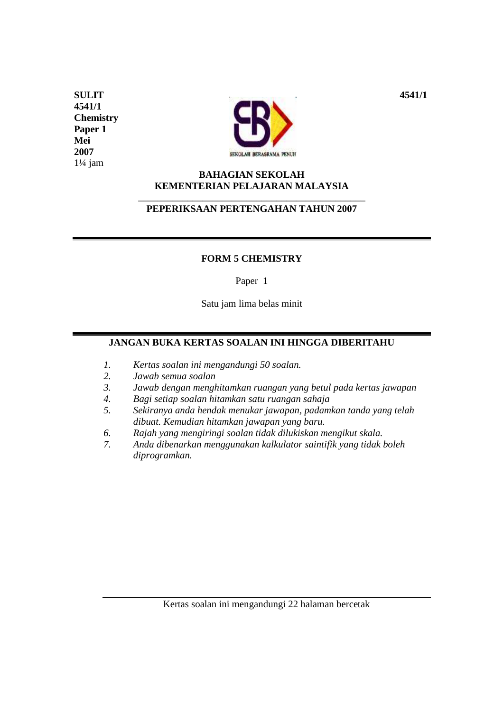**4541/1 Chemistry Paper 1 Mei 2007**   $1\frac{1}{4}$  jam



## **BAHAGIAN SEKOLAH KEMENTERIAN PELAJARAN MALAYSIA**  \_\_\_\_\_\_\_\_\_\_\_\_\_\_\_\_\_\_\_\_\_\_\_\_\_\_\_\_\_\_\_\_\_\_\_\_\_\_\_\_\_\_\_\_\_\_

## **PEPERIKSAAN PERTENGAHAN TAHUN 2007**

## **FORM 5 CHEMISTRY**

Paper 1

Satu jam lima belas minit

# **JANGAN BUKA KERTAS SOALAN INI HINGGA DIBERITAHU**

- *1. Kertas soalan ini mengandungi 50 soalan.*
- *2. Jawab semua soalan*
- *3. Jawab dengan menghitamkan ruangan yang betul pada kertas jawapan*
- *4. Bagi setiap soalan hitamkan satu ruangan sahaja*
- *5. Sekiranya anda hendak menukar jawapan, padamkan tanda yang telah dibuat. Kemudian hitamkan jawapan yang baru.*
- *6. Rajah yang mengiringi soalan tidak dilukiskan mengikut skala.*
- *7. Anda dibenarkan menggunakan kalkulator saintifik yang tidak boleh diprogramkan.*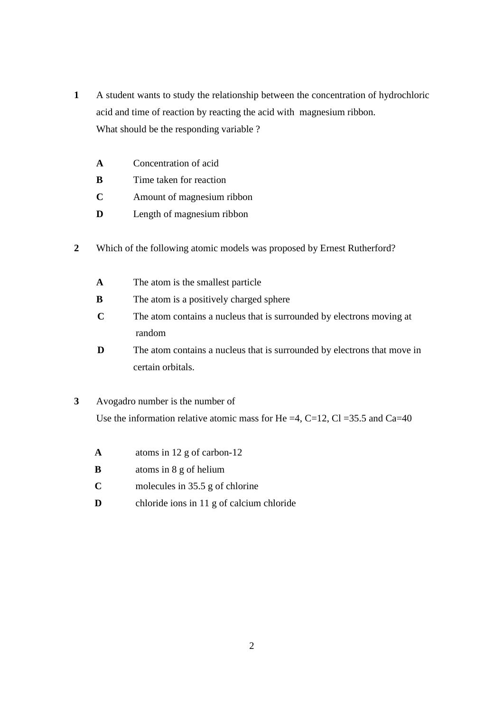- **1** A student wants to study the relationship between the concentration of hydrochloric acid and time of reaction by reacting the acid with magnesium ribbon. What should be the responding variable ?
	- **A** Concentration of acid
	- **B** Time taken for reaction
	- **C** Amount of magnesium ribbon
	- **D** Length of magnesium ribbon
- **2** Which of the following atomic models was proposed by Ernest Rutherford?
	- **A** The atom is the smallest particle
	- **B** The atom is a positively charged sphere
	- **C** The atom contains a nucleus that is surrounded by electrons moving at random
	- **D** The atom contains a nucleus that is surrounded by electrons that move in certain orbitals.
- **3** Avogadro number is the number of Use the information relative atomic mass for He =4, C=12, Cl =35.5 and Ca=40
	- **A** atoms in 12 g of carbon-12
	- **B** atoms in 8 g of helium
	- **C** molecules in 35.5 g of chlorine
	- **D** chloride ions in 11 g of calcium chloride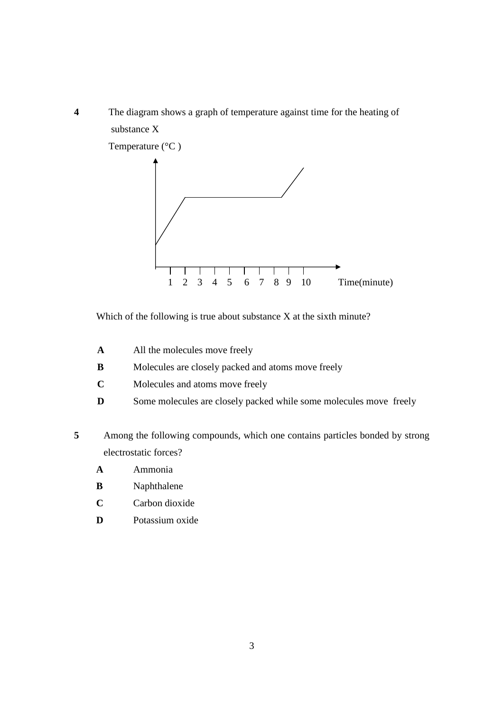



Which of the following is true about substance X at the sixth minute?

- **A** All the molecules move freely
- **B** Molecules are closely packed and atoms move freely
- **C** Molecules and atoms move freely
- **D** Some molecules are closely packed while some molecules move freely
- **5** Among the following compounds, which one contains particles bonded by strong electrostatic forces?
	- **A** Ammonia
	- **B** Naphthalene
	- **C** Carbon dioxide
	- **D** Potassium oxide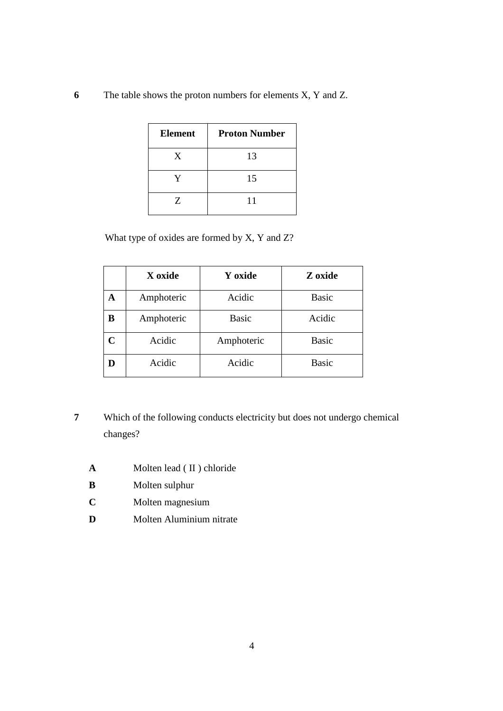**6** The table shows the proton numbers for elements X, Y and Z.

| <b>Element</b> | <b>Proton Number</b> |
|----------------|----------------------|
| X              | 13                   |
| V              | 15                   |
| Z              | 11                   |

What type of oxides are formed by X, Y and Z?

|                | X oxide    | Y oxide      | Z oxide      |
|----------------|------------|--------------|--------------|
| A              | Amphoteric | Acidic       | <b>Basic</b> |
| В              | Amphoteric | <b>Basic</b> | Acidic       |
| $\overline{C}$ | Acidic     | Amphoteric   | <b>Basic</b> |
| D              | Acidic     | Acidic       | <b>Basic</b> |

- **7** Which of the following conducts electricity but does not undergo chemical changes?
	- **A** Molten lead (II) chloride
	- **B** Molten sulphur
	- **C** Molten magnesium
	- **D** Molten Aluminium nitrate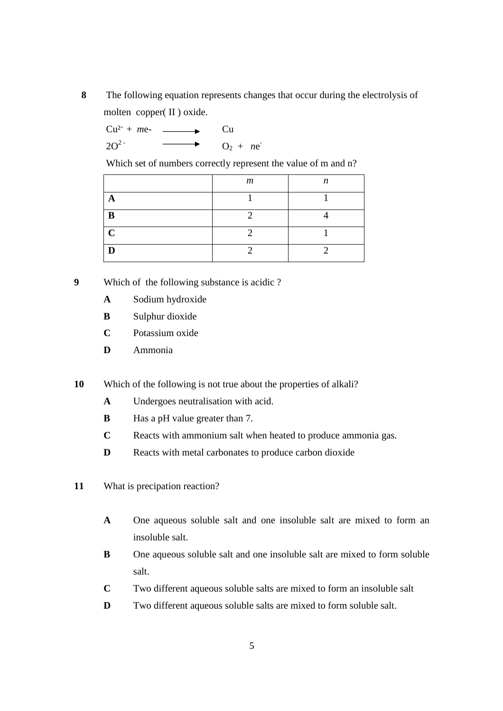**8** The following equation represents changes that occur during the electrolysis of molten copper( II ) oxide.

 $Cu^{2+} + me-$  Cu  $2O^2$   $O_2 + ne^2$ 

Which set of numbers correctly represent the value of m and n?

|             | $\boldsymbol{m}$ | n |
|-------------|------------------|---|
| Α           |                  |   |
| B           |                  |   |
| $\mathbf C$ |                  |   |
|             |                  |   |

**9** Which of the following substance is acidic ?

- **A** Sodium hydroxide
- **B** Sulphur dioxide
- **C** Potassium oxide
- **D** Ammonia

**10** Which of the following is not true about the properties of alkali?

- **A** Undergoes neutralisation with acid.
- **B** Has a pH value greater than 7.
- **C** Reacts with ammonium salt when heated to produce ammonia gas.
- **D** Reacts with metal carbonates to produce carbon dioxide
- **11** What is precipation reaction?
	- **A** One aqueous soluble salt and one insoluble salt are mixed to form an insoluble salt.
	- **B** One aqueous soluble salt and one insoluble salt are mixed to form soluble salt.
	- **C** Two different aqueous soluble salts are mixed to form an insoluble salt
	- **D** Two different aqueous soluble salts are mixed to form soluble salt.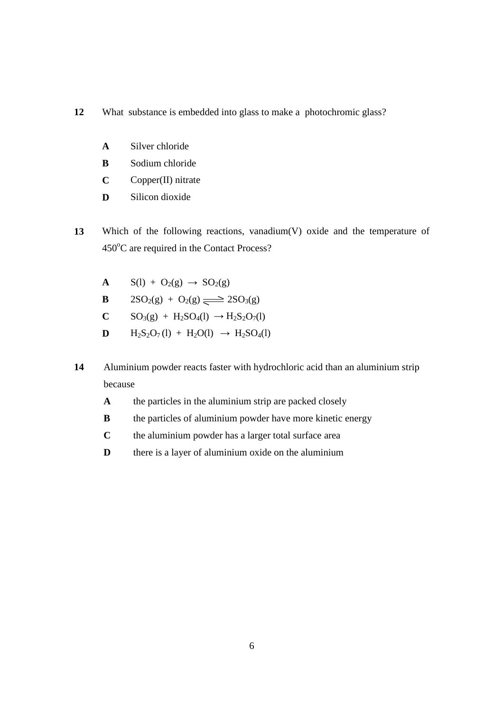- **12** What substance is embedded into glass to make a photochromic glass?
	- **A** Silver chloride
	- **B** Sodium chloride
	- **C** Copper(II) nitrate
	- **D** Silicon dioxide
- **13** Which of the following reactions, vanadium(V) oxide and the temperature of 450°C are required in the Contact Process?
	- **A**  $S(1) + O_2(g) \rightarrow SO_2(g)$
	- **B**  $2SO_2(g) + O_2(g) \implies 2SO_3(g)$
	- **C**  $SO_3(g) + H_2SO_4(l) \rightarrow H_2S_2O_7(l)$
	- **D**  $H_2S_2O_7(l) + H_2O(l) \rightarrow H_2SO_4(l)$
- **14** Aluminium powder reacts faster with hydrochloric acid than an aluminium strip because
	- **A** the particles in the aluminium strip are packed closely
	- **B** the particles of aluminium powder have more kinetic energy
	- **C** the aluminium powder has a larger total surface area
	- **D** there is a layer of aluminium oxide on the aluminium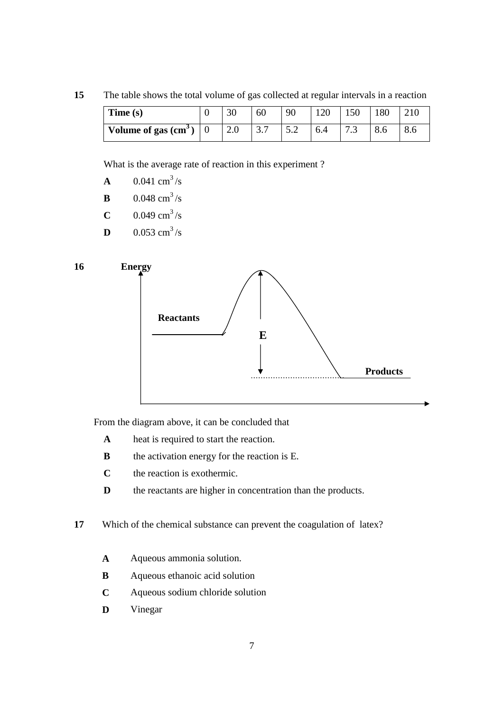**15** The table shows the total volume of gas collected at regular intervals in a reaction

| Time(s)               | 30  | 60                     | 90  |     | 150                  | 180 |     |
|-----------------------|-----|------------------------|-----|-----|----------------------|-----|-----|
| Volume of gas $(cm3)$ | 2.0 | $\gamma$ $\tau$<br>3.1 | ے . | 6.4 | $\sim$ $\sim$<br>ن ر | 8.0 | 8.6 |

What is the average rate of reaction in this experiment ?

| $\mathbf{A}$ | $0.041$ cm <sup>3</sup> /s |
|--------------|----------------------------|
| B            | $0.048$ cm <sup>3</sup> /s |
| C            | $0.049$ cm <sup>3</sup> /s |

**D**  $0.053 \text{ cm}^3/\text{s}$ 



From the diagram above, it can be concluded that

- **A** heat is required to start the reaction.
- **B** the activation energy for the reaction is E.
- **C** the reaction is exothermic.
- **D** the reactants are higher in concentration than the products.
- **17** Which of the chemical substance can prevent the coagulation of latex?
	- **A** Aqueous ammonia solution.
	- **B** Aqueous ethanoic acid solution
	- **C** Aqueous sodium chloride solution
	- **D** Vinegar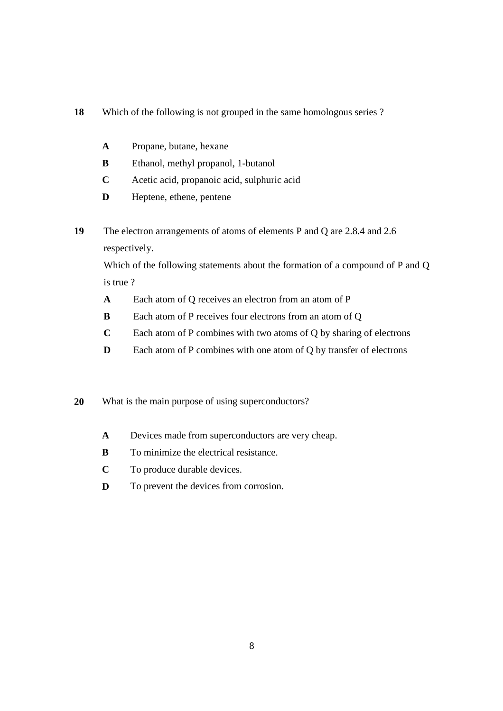### **18** Which of the following is not grouped in the same homologous series ?

- **A** Propane, butane, hexane
- **B** Ethanol, methyl propanol, 1-butanol
- **C** Acetic acid, propanoic acid, sulphuric acid
- **D** Heptene, ethene, pentene
- **19** The electron arrangements of atoms of elements P and Q are 2.8.4 and 2.6 respectively.

Which of the following statements about the formation of a compound of P and Q is true ?

- **A** Each atom of Q receives an electron from an atom of P
- **B** Each atom of P receives four electrons from an atom of Q
- **C** Each atom of P combines with two atoms of Q by sharing of electrons
- **D** Each atom of P combines with one atom of Q by transfer of electrons

#### **20** What is the main purpose of using superconductors?

- **A** Devices made from superconductors are very cheap.
- **B** To minimize the electrical resistance.
- **C** To produce durable devices.
- **D** To prevent the devices from corrosion.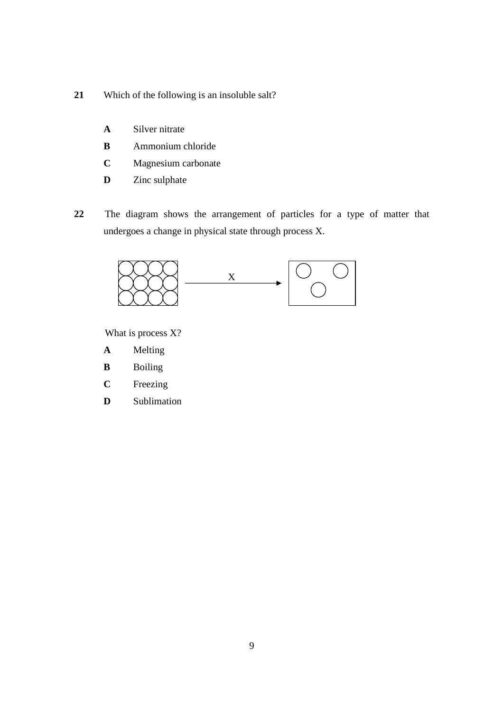- **21** Which of the following is an insoluble salt?
	- **A** Silver nitrate
	- **B** Ammonium chloride
	- **C** Magnesium carbonate
	- **D** Zinc sulphate
- **22** The diagram shows the arrangement of particles for a type of matter that undergoes a change in physical state through process X.



What is process X?

- **A** Melting
- **B** Boiling
- **C** Freezing
- **D** Sublimation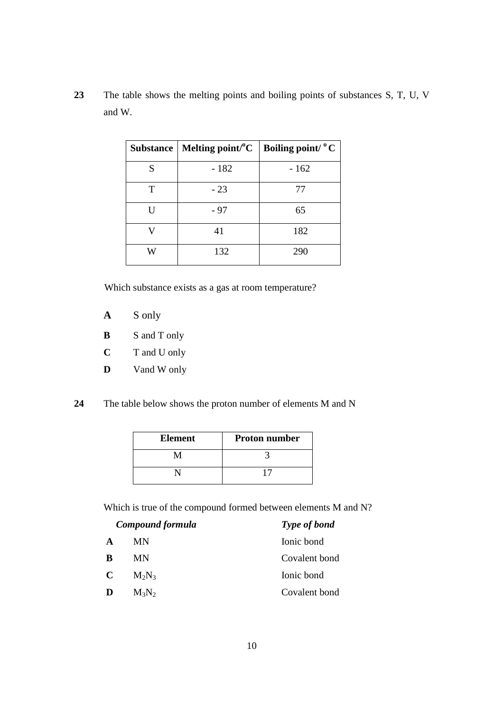**23** The table shows the melting points and boiling points of substances S, T, U, V and W.

|   | Substance   Melting point/ ${}^{\circ}C$   Boiling point/ ${}^{\circ}C$ |        |
|---|-------------------------------------------------------------------------|--------|
| S | $-182$                                                                  | $-162$ |
| Т | $-23$                                                                   | 77     |
|   | - 97                                                                    | 65     |
|   | 41                                                                      | 182    |
|   | 132                                                                     | 290    |

Which substance exists as a gas at room temperature?

- **A** S only
- **B** S and T only
- **C** T and U only
- **D** Vand W only
- **24** The table below shows the proton number of elements M and N

| <b>Element</b> | <b>Proton number</b> |
|----------------|----------------------|
|                |                      |
|                |                      |

Which is true of the compound formed between elements M and N?

| Compound formula |           | Type of bond  |  |
|------------------|-----------|---------------|--|
| A                | <b>MN</b> | Ionic bond    |  |
| B                | MN        | Covalent bond |  |
| C                | $M_2N_3$  | Ionic bond    |  |
|                  | $M_3N_2$  | Covalent bond |  |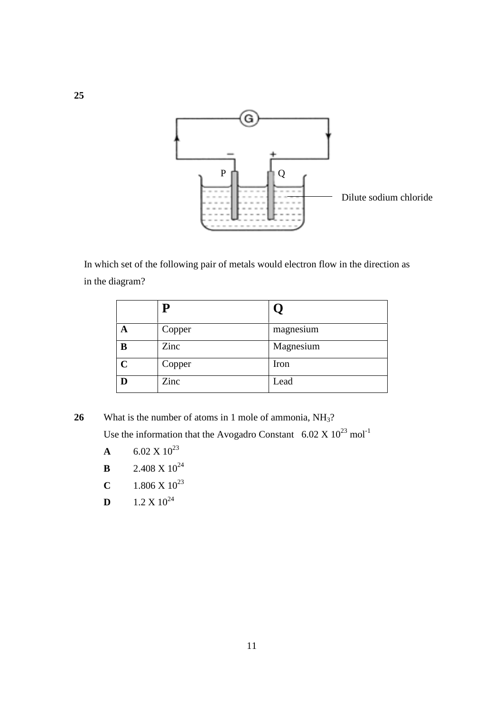

 In which set of the following pair of metals would electron flow in the direction as in the diagram?

|             | Copper | magnesium |
|-------------|--------|-----------|
| B           | Zinc   | Magnesium |
| $\mathbf C$ | Copper | Iron      |
| D           | Zinc   | Lead      |

26 What is the number of atoms in 1 mole of ammonia, NH<sub>3</sub>?

Use the information that the Avogadro Constant  $6.02 \times 10^{23}$  mol<sup>-1</sup>

- **A** 6.02 X  $10^{23}$
- **B** 2.408 X  $10^{24}$
- **C** 1.806 X  $10^{23}$
- **D**  $1.2 \text{ X } 10^{24}$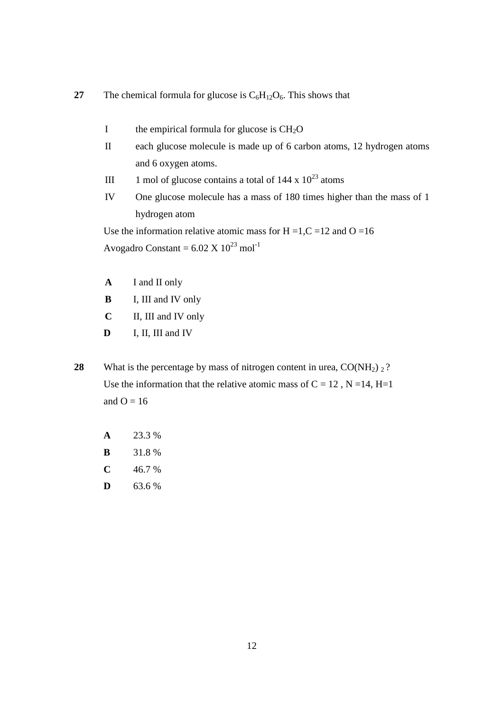**27** The chemical formula for glucose is  $C_6H_{12}O_6$ . This shows that

- I the empirical formula for glucose is  $CH<sub>2</sub>O$
- II each glucose molecule is made up of 6 carbon atoms, 12 hydrogen atoms and 6 oxygen atoms.
- III 1 mol of glucose contains a total of  $144 \times 10^{23}$  atoms
- IV One glucose molecule has a mass of 180 times higher than the mass of 1 hydrogen atom

Use the information relative atomic mass for  $H = 1, C = 12$  and  $O = 16$ Avogadro Constant =  $6.02 \text{ X } 10^{23} \text{ mol}^{-1}$ 

- **A** I and II only
- **B** I, III and IV only
- **C** II, III and IV only
- **D** I, II, III and IV
- **28** What is the percentage by mass of nitrogen content in urea,  $CO(NH<sub>2</sub>)$  <sup>2</sup>? Use the information that the relative atomic mass of  $C = 12$ ,  $N = 14$ ,  $H = 1$ and  $O = 16$ 
	- **A** 23.3 % **B** 31.8 %  $C$  46.7 %
	- **D**  $63.6\%$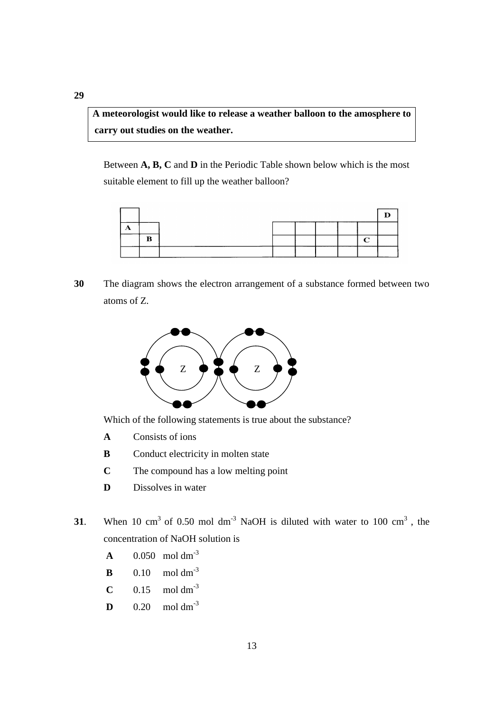**A meteorologist would like to release a weather balloon to the amosphere to**  carry out studies on the weather.

 Between **A, B, C** and **D** in the Periodic Table shown below which is the most suitable element to fill up the weather balloon?



**30** The diagram shows the electron arrangement of a substance formed between two atoms of Z.



Which of the following statements is true about the substance?

- **A** Consists of ions
- **B** Conduct electricity in molten state
- **C** The compound has a low melting point
- **D** Dissolves in water
- **31**. When 10 cm<sup>3</sup> of 0.50 mol dm<sup>-3</sup> NaOH is diluted with water to 100 cm<sup>3</sup>, the concentration of NaOH solution is
- **A**  $0.050 \text{ mol dm}^{-3}$
- **B**  $0.10$  mol dm<sup>-3</sup>
	- **C**  $0.15$  mol dm<sup>-3</sup>
	- **D**  $0.20$  mol dm<sup>-3</sup>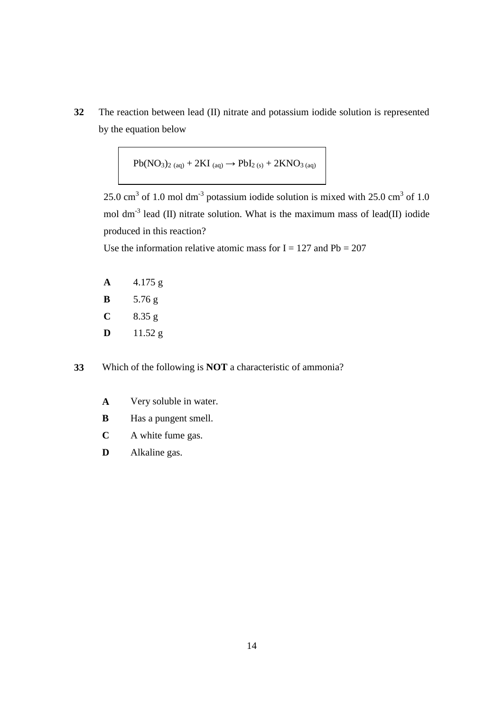**32** The reaction between lead (II) nitrate and potassium iodide solution is represented by the equation below

$$
Pb(NO_3)_{2\ (aq)} + 2KI_{\ (aq)} \longrightarrow PbI_{2\ (s)} + 2KNO_{3\ (aq)}
$$

25.0 cm<sup>3</sup> of 1.0 mol dm<sup>-3</sup> potassium iodide solution is mixed with 25.0 cm<sup>3</sup> of 1.0 mol dm<sup>-3</sup> lead (II) nitrate solution. What is the maximum mass of lead(II) iodide produced in this reaction?

Use the information relative atomic mass for  $I = 127$  and  $Pb = 207$ 

| A | 4.175 g |  |
|---|---------|--|
|---|---------|--|

- **B** 5.76 g
- **C** 8.35 g
- **D** 11.52 g

**33** Which of the following is **NOT** a characteristic of ammonia?

- **A** Very soluble in water.
- **B Has a pungent smell.**
- **C** A white fume gas.
- **D** Alkaline gas.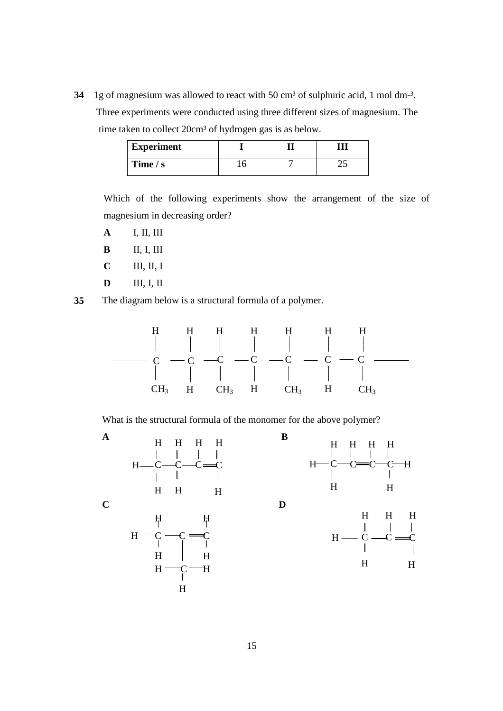**34** 1g of magnesium was allowed to react with 50 cm<sup>3</sup> of sulphuric acid, 1 mol dm<sup>-3</sup>. Three experiments were conducted using three different sizes of magnesium. The time taken to collect 20cm<sup>3</sup> of hydrogen gas is as below.

| <b>Experiment</b> |  |  |
|-------------------|--|--|
| Time $/s$         |  |  |

Which of the following experiments show the arrangement of the size of magnesium in decreasing order?

- **A** I, II, III
- **B** II, I, III
- **C** III, II, I
- **D** III, I, II
- **35** The diagram below is a structural formula of a polymer.



What is the structural formula of the monomer for the above polymer?

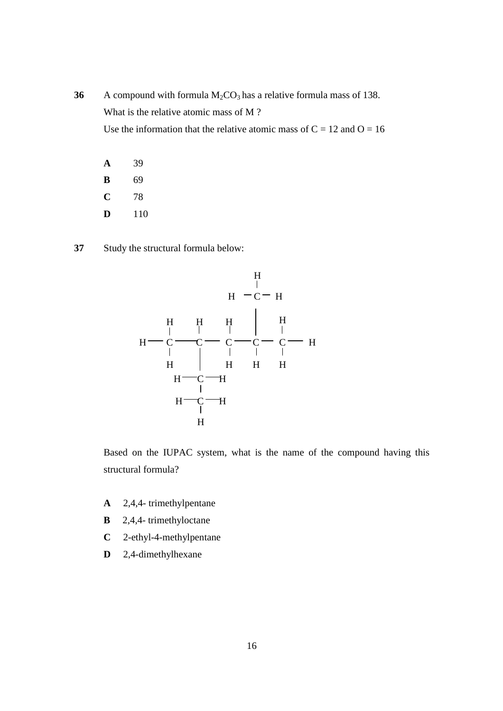- **36** A compound with formula  $M_2CO_3$  has a relative formula mass of 138. What is the relative atomic mass of M ? Use the information that the relative atomic mass of  $C = 12$  and  $O = 16$ 
	- **A** 39 **B** 69 **C** 78 **D** 110
- **37** Study the structural formula below:



Based on the IUPAC system, what is the name of the compound having this structural formula?

- **A** 2,4,4- trimethylpentane
- **B** 2,4,4- trimethyloctane
- **C** 2-ethyl-4-methylpentane
- **D** 2,4-dimethylhexane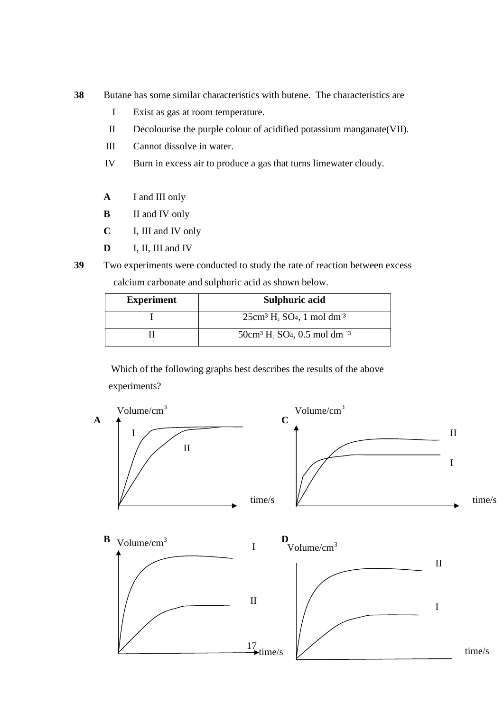- **38** Butane has some similar characteristics with butene. The characteristics are
	- I Exist as gas at room temperature.
	- II Decolourise the purple colour of acidified potassium manganate(VII).
	- III Cannot dissolve in water.
	- IV Burn in excess air to produce a gas that turns limewater cloudy.
	- **A** I and III only
	- **B** II and IV only
	- **C** I, III and IV only
	- **D** I, II, III and IV
- **39** Two experiments were conducted to study the rate of reaction between excess calcium carbonate and sulphuric acid as shown below.

| <b>Experiment</b> | Sulphuric acid                                                         |
|-------------------|------------------------------------------------------------------------|
|                   | $25cm3 H2 SO4$ , 1 mol dm <sup>-3</sup>                                |
|                   | $50 \text{cm}^3 \text{H}_2$ SO <sub>4</sub> , 0.5 mol dm <sup>-3</sup> |

 Which of the following graphs best describes the results of the above experiments?

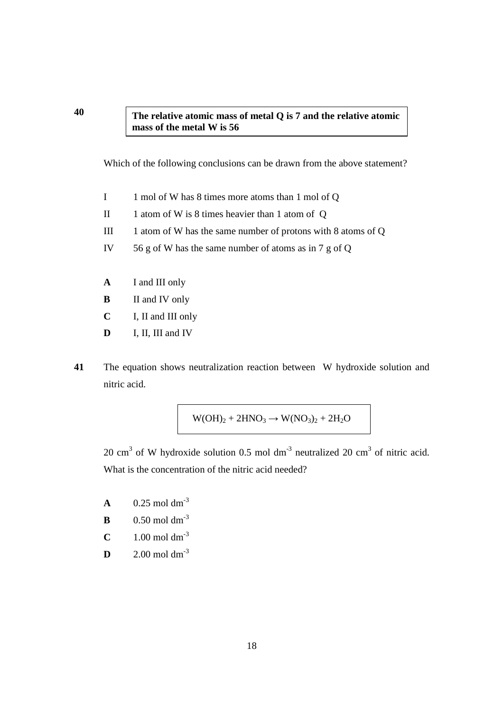## **The relative atomic mass of metal Q is 7 and the relative atomic mass of the metal W is 56**

Which of the following conclusions can be drawn from the above statement?

- I 1 mol of W has 8 times more atoms than 1 mol of Q
- II 1 atom of W is 8 times heavier than 1 atom of Q
- III 1 atom of W has the same number of protons with 8 atoms of Q
- IV 56 g of W has the same number of atoms as in 7 g of Q
- **A** I and III only
- **B** II and IV only
- **C** I, II and III only
- **D** I, II, III and IV
- **41** The equation shows neutralization reaction between W hydroxide solution and nitric acid.

$$
W(OH)_2 + 2HNO_3 \rightarrow W(NO_3)_2 + 2H_2O
$$

20 cm<sup>3</sup> of W hydroxide solution 0.5 mol dm<sup>-3</sup> neutralized 20 cm<sup>3</sup> of nitric acid. What is the concentration of the nitric acid needed?

- **A** 0.25 mol dm<sup>-3</sup>
- **B** 0.50 mol dm<sup>-3</sup>
- **C** 1.00 mol dm<sup>-3</sup>
- **D** 2.00 mol dm<sup>-3</sup>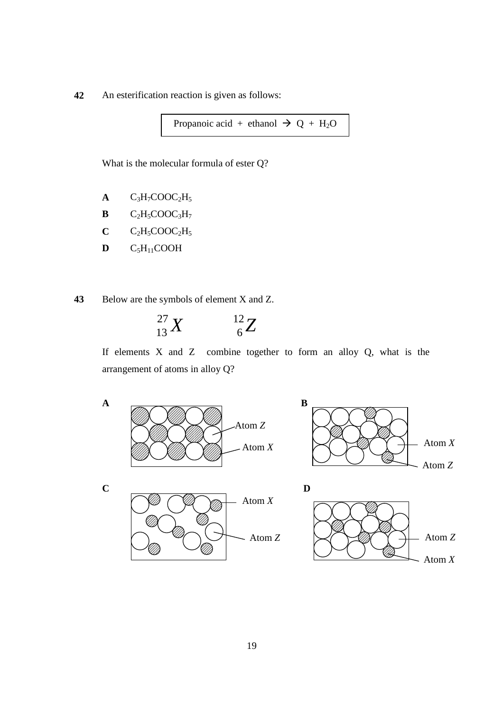**42** An esterification reaction is given as follows:

Propanoic acid + ethanol  $\rightarrow Q + H_2O$ 

What is the molecular formula of ester Q?

- $A$   $C_3H_7COOC_2H_5$
- $B$   $C_2H_5COOC_3H_7$
- $C$   $C_2H_5COOC_2H_5$
- $D$   $C_5H_{11}COOH$

**43** Below are the symbols of element X and Z.

$$
^{27}_{13}X \qquad \quad ^{12}_{6}Z
$$

If elements X and Z combine together to form an alloy Q, what is the arrangement of atoms in alloy Q?

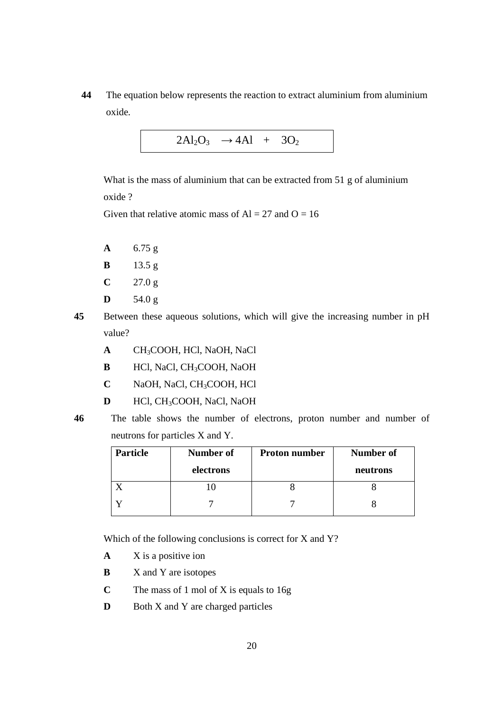**44** The equation below represents the reaction to extract aluminium from aluminium oxide.

$$
2Al_2O_3 \rightarrow 4Al + 3O_2
$$

 What is the mass of aluminium that can be extracted from 51 g of aluminium oxide ?

Given that relative atomic mass of  $Al = 27$  and  $O = 16$ 

- **A** 6.75 g
- **B** 13.5 g
- $C = 27.0 g$
- $D = 54.0 g$
- **45** Between these aqueous solutions, which will give the increasing number in pH value?
	- **A** CH3COOH, HCl, NaOH, NaCl
	- **B** HCl, NaCl, CH<sub>3</sub>COOH, NaOH
	- **C** NaOH, NaCl, CH3COOH, HCl
	- **D** HCl, CH<sub>3</sub>COOH, NaCl, NaOH
- 

**46** The table shows the number of electrons, proton number and number of neutrons for particles X and Y.

| <b>Particle</b> | Number of | <b>Proton number</b> | <b>Number of</b> |
|-----------------|-----------|----------------------|------------------|
|                 | electrons |                      | neutrons         |
|                 |           |                      |                  |
|                 |           |                      |                  |

Which of the following conclusions is correct for X and Y?

- **A** X is a positive ion
- **B** X and Y are isotopes
- **C** The mass of 1 mol of X is equals to 16g
- **D** Both X and Y are charged particles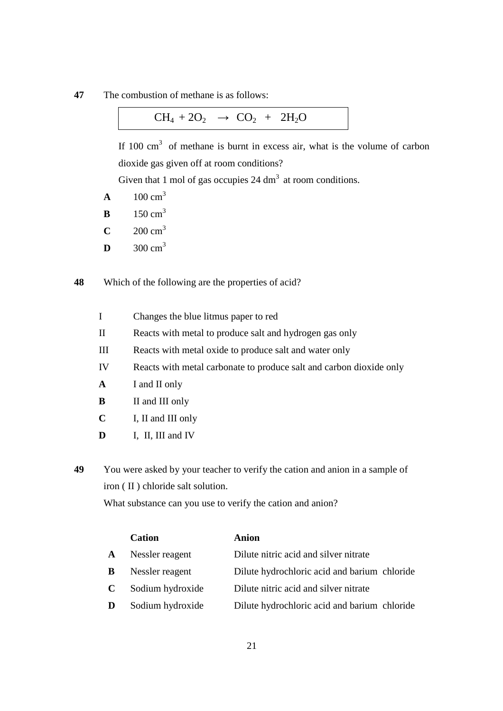**47** The combustion of methane is as follows:

If  $100 \text{ cm}^3$  of methane is burnt in excess air, what is the volume of carbon dioxide gas given off at room conditions?

Given that 1 mol of gas occupies 24 dm<sup>3</sup> at room conditions.

- **A** 100  $cm^3$
- **B** 150  $cm^3$
- **C**  $200 \text{ cm}^3$
- **D**  $300 \text{ cm}^3$

**48** Which of the following are the properties of acid?

- I Changes the blue litmus paper to red
- II Reacts with metal to produce salt and hydrogen gas only
- III Reacts with metal oxide to produce salt and water only
- IV Reacts with metal carbonate to produce salt and carbon dioxide only
- **A** I and II only
- **B** II and III only
- **C** I, II and III only
- **D** I, II, III and IV
- **49** You were asked by your teacher to verify the cation and anion in a sample of iron ( II ) chloride salt solution.

What substance can you use to verify the cation and anion?

|   | <b>Cation</b>    | <b>Anion</b>                                 |
|---|------------------|----------------------------------------------|
| A | Nessler reagent  | Dilute nitric acid and silver nitrate        |
| B | Nessler reagent  | Dilute hydrochloric acid and barium chloride |
| C | Sodium hydroxide | Dilute nitric acid and silver nitrate        |
| D | Sodium hydroxide | Dilute hydrochloric acid and barium chloride |
|   |                  |                                              |